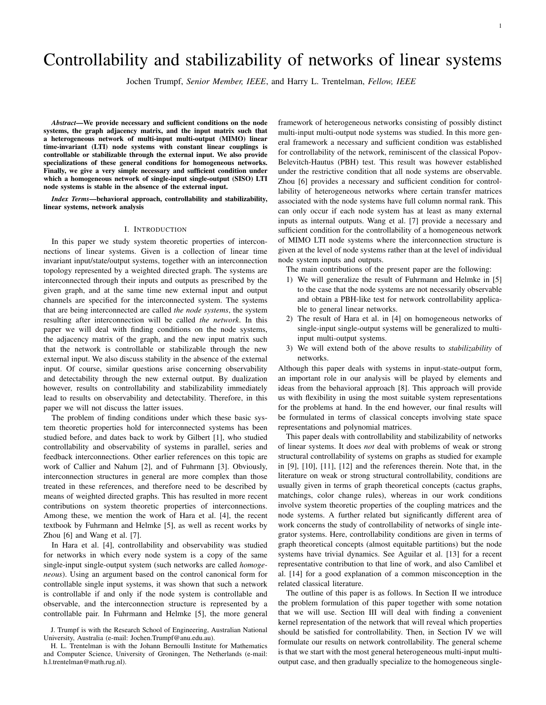# Controllability and stabilizability of networks of linear systems

Jochen Trumpf, *Senior Member, IEEE*, and Harry L. Trentelman, *Fellow, IEEE*

*Abstract*—We provide necessary and sufficient conditions on the node systems, the graph adjacency matrix, and the input matrix such that a heterogeneous network of multi-input multi-output (MIMO) linear time-invariant (LTI) node systems with constant linear couplings is controllable or stabilizable through the external input. We also provide specializations of these general conditions for homogeneous networks. Finally, we give a very simple necessary and sufficient condition under which a homogeneous network of single-input single-output (SISO) LTI node systems is stable in the absence of the external input.

*Index Terms*—behavioral approach, controllability and stabilizability, linear systems, network analysis

## I. INTRODUCTION

In this paper we study system theoretic properties of interconnections of linear systems. Given is a collection of linear time invariant input/state/output systems, together with an interconnection topology represented by a weighted directed graph. The systems are interconnected through their inputs and outputs as prescribed by the given graph, and at the same time new external input and output channels are specified for the interconnected system. The systems that are being interconnected are called *the node systems*, the system resulting after interconnection will be called *the network*. In this paper we will deal with finding conditions on the node systems, the adjacency matrix of the graph, and the new input matrix such that the network is controllable or stabilizable through the new external input. We also discuss stability in the absence of the external input. Of course, similar questions arise concerning observability and detectability through the new external output. By dualization however, results on controllability and stabilizability immediately lead to results on observability and detectability. Therefore, in this paper we will not discuss the latter issues.

The problem of finding conditions under which these basic system theoretic properties hold for interconnected systems has been studied before, and dates back to work by Gilbert [1], who studied controllability and observability of systems in parallel, series and feedback interconnections. Other earlier references on this topic are work of Callier and Nahum [2], and of Fuhrmann [3]. Obviously, interconnection structures in general are more complex than those treated in these references, and therefore need to be described by means of weighted directed graphs. This has resulted in more recent contributions on system theoretic properties of interconnections. Among these, we mention the work of Hara et al. [4], the recent textbook by Fuhrmann and Helmke [5], as well as recent works by Zhou [6] and Wang et al. [7].

In Hara et al. [4], controllability and observability was studied for networks in which every node system is a copy of the same single-input single-output system (such networks are called *homogeneous*). Using an argument based on the control canonical form for controllable single input systems, it was shown that such a network is controllable if and only if the node system is controllable and observable, and the interconnection structure is represented by a controllable pair. In Fuhrmann and Helmke [5], the more general framework of heterogeneous networks consisting of possibly distinct multi-input multi-output node systems was studied. In this more general framework a necessary and sufficient condition was established for controllability of the network, reminiscent of the classical Popov-Belevitch-Hautus (PBH) test. This result was however established under the restrictive condition that all node systems are observable. Zhou [6] provides a necessary and sufficient condition for controllability of heterogeneous networks where certain transfer matrices associated with the node systems have full column normal rank. This can only occur if each node system has at least as many external inputs as internal outputs. Wang et al. [7] provide a necessary and sufficient condition for the controllability of a homogeneous network of MIMO LTI node systems where the interconnection structure is given at the level of node systems rather than at the level of individual node system inputs and outputs.

The main contributions of the present paper are the following:

- 1) We will generalize the result of Fuhrmann and Helmke in [5] to the case that the node systems are not necessarily observable and obtain a PBH-like test for network controllability applicable to general linear networks.
- 2) The result of Hara et al. in [4] on homogeneous networks of single-input single-output systems will be generalized to multiinput multi-output systems.
- 3) We will extend both of the above results to *stabilizability* of networks.

Although this paper deals with systems in input-state-output form, an important role in our analysis will be played by elements and ideas from the behavioral approach [8]. This approach will provide us with flexibility in using the most suitable system representations for the problems at hand. In the end however, our final results will be formulated in terms of classical concepts involving state space representations and polynomial matrices.

This paper deals with controllability and stabilizability of networks of linear systems. It does *not* deal with problems of weak or strong structural controllability of systems on graphs as studied for example in [9], [10], [11], [12] and the references therein. Note that, in the literature on weak or strong structural controllability, conditions are usually given in terms of graph theoretical concepts (cactus graphs, matchings, color change rules), whereas in our work conditions involve system theoretic properties of the coupling matrices and the node systems. A further related but significantly different area of work concerns the study of controllability of networks of single integrator systems. Here, controllability conditions are given in terms of graph theoretical concepts (almost equitable partitions) but the node systems have trivial dynamics. See Aguilar et al. [13] for a recent representative contribution to that line of work, and also Camlibel et al. [14] for a good explanation of a common misconception in the related classical literature.

The outline of this paper is as follows. In Section II we introduce the problem formulation of this paper together with some notation that we will use. Section III will deal with finding a convenient kernel representation of the network that will reveal which properties should be satisfied for controllability. Then, in Section IV we will formulate our results on network controllability. The general scheme is that we start with the most general heterogeneous multi-input multioutput case, and then gradually specialize to the homogeneous single-

J. Trumpf is with the Research School of Engineering, Australian National University, Australia (e-mail: Jochen.Trumpf@anu.edu.au).

H. L. Trentelman is with the Johann Bernoulli Institute for Mathematics and Computer Science, University of Groningen, The Netherlands (e-mail: h.l.trentelman@math.rug.nl).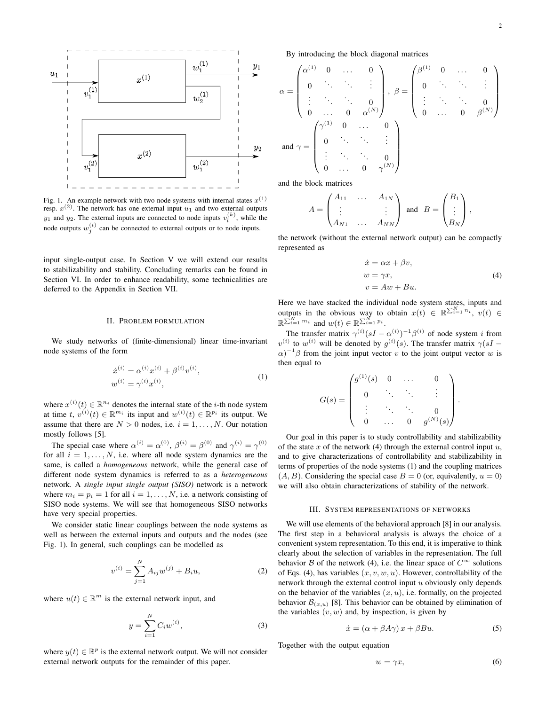



Fig. 1. An example network with two node systems with internal states  $x^{(1)}$ resp.  $x^{(2)}$ . The network has one external input  $u_1$  and two external outputs  $y_1$  and  $y_2$ . The external inputs are connected to node inputs  $v_l^{(k)}$ , while the node outputs  $w_j^{(i)}$  can be connected to external outputs or to node inputs.

input single-output case. In Section V we will extend our results to stabilizability and stability. Concluding remarks can be found in Section VI. In order to enhance readability, some technicalities are deferred to the Appendix in Section VII.

#### II. PROBLEM FORMULATION

We study networks of (finite-dimensional) linear time-invariant node systems of the form

$$
\dot{x}^{(i)} = \alpha^{(i)} x^{(i)} + \beta^{(i)} v^{(i)}, \nw^{(i)} = \gamma^{(i)} x^{(i)},
$$
\n(1)

where  $x^{(i)}(t) \in \mathbb{R}^{n_i}$  denotes the internal state of the *i*-th node system at time  $t, v^{(i)}(t) \in \mathbb{R}^{m_i}$  its input and  $w^{(i)}(t) \in \mathbb{R}^{p_i}$  its output. We assume that there are  $N > 0$  nodes, i.e.  $i = 1, ..., N$ . Our notation mostly follows [5].

The special case where  $\alpha^{(i)} = \alpha^{(0)}$ ,  $\beta^{(i)} = \beta^{(0)}$  and  $\gamma^{(i)} = \gamma^{(0)}$ for all  $i = 1, \ldots, N$ , i.e. where all node system dynamics are the same, is called a *homogeneous* network, while the general case of different node system dynamics is referred to as a *heterogeneous* network. A *single input single output (SISO)* network is a network where  $m_i = p_i = 1$  for all  $i = 1, ..., N$ , i.e. a network consisting of SISO node systems. We will see that homogeneous SISO networks have very special properties.

We consider static linear couplings between the node systems as well as between the external inputs and outputs and the nodes (see Fig. 1). In general, such couplings can be modelled as

$$
v^{(i)} = \sum_{j=1}^{N} A_{ij} w^{(j)} + B_i u,
$$
 (2)

where  $u(t) \in \mathbb{R}^m$  is the external network input, and

$$
y = \sum_{i=1}^{N} C_i w^{(i)},
$$
\n(3)

where  $y(t) \in \mathbb{R}^p$  is the external network output. We will not consider external network outputs for the remainder of this paper.

By introducing the block diagonal matrices

$$
\alpha = \begin{pmatrix} \alpha^{(1)} & 0 & \dots & 0 \\ 0 & \ddots & \ddots & \vdots \\ \vdots & \ddots & \ddots & 0 \\ 0 & \dots & 0 & \alpha^{(N)} \end{pmatrix}, \ \beta = \begin{pmatrix} \beta^{(1)} & 0 & \dots & 0 \\ 0 & \ddots & \ddots & \vdots \\ \vdots & \ddots & \ddots & 0 \\ 0 & \dots & 0 & \beta^{(N)} \end{pmatrix}
$$
  
and  $\gamma = \begin{pmatrix} \gamma^{(1)} & 0 & \dots & 0 \\ 0 & \ddots & \ddots & \vdots \\ \vdots & \ddots & \ddots & 0 \\ 0 & \dots & 0 & \gamma^{(N)} \end{pmatrix}$ 

and the block matrices

$$
A = \begin{pmatrix} A_{11} & \dots & A_{1N} \\ \vdots & & \vdots \\ A_{N1} & \dots & A_{NN} \end{pmatrix} \text{ and } B = \begin{pmatrix} B_1 \\ \vdots \\ B_N \end{pmatrix},
$$

the network (without the external network output) can be compactly represented as

$$
\begin{aligned}\n\dot{x} &= \alpha x + \beta v, \\
w &= \gamma x, \\
v &= Aw + Bu.\n\end{aligned}
$$
(4)

Here we have stacked the individual node system states, inputs and outputs in the obvious way to obtain  $x(t) \in \mathbb{R}^{\sum_{i=1}^{N} n_i}$ ,  $v(t) \in$  $\mathbb{R}^{\sum_{i=1}^{N}m_i}$  and  $w(t) \in \mathbb{R}^{\sum_{i=1}^{N}p_i}$ .

The transfer matrix  $\gamma^{(i)}(sI - \alpha^{(i)})^{-1}\beta^{(i)}$  of node system i from  $v^{(i)}$  to  $w^{(i)}$  will be denoted by  $g^{(i)}(s)$ . The transfer matrix  $\gamma(sI (\alpha)^{-1}\beta$  from the joint input vector v to the joint output vector w is then equal to

$$
G(s) = \begin{pmatrix} g^{(1)}(s) & 0 & \dots & 0 \\ 0 & \ddots & \ddots & \vdots \\ \vdots & \ddots & \ddots & 0 \\ 0 & \dots & 0 & g^{(N)}(s) \end{pmatrix}.
$$

Our goal in this paper is to study controllability and stabilizability of the state x of the network (4) through the external control input  $u$ , and to give characterizations of controllability and stabilizability in terms of properties of the node systems (1) and the coupling matrices  $(A, B)$ . Considering the special case  $B = 0$  (or, equivalently,  $u = 0$ ) we will also obtain characterizations of stability of the network.

#### III. SYSTEM REPRESENTATIONS OF NETWORKS

We will use elements of the behavioral approach [8] in our analysis. The first step in a behavioral analysis is always the choice of a convenient system representation. To this end, it is imperative to think clearly about the selection of variables in the representation. The full behavior B of the network (4), i.e. the linear space of  $C^{\infty}$  solutions of Eqs. (4), has variables  $(x, v, w, u)$ . However, controllability of the network through the external control input  $u$  obviously only depends on the behavior of the variables  $(x, u)$ , i.e. formally, on the projected behavior  $\mathcal{B}_{(x,u)}$  [8]. This behavior can be obtained by elimination of the variables  $(v, w)$  and, by inspection, is given by

$$
\dot{x} = (\alpha + \beta A\gamma)x + \beta Bu. \tag{5}
$$

Together with the output equation

$$
w = \gamma x,\tag{6}
$$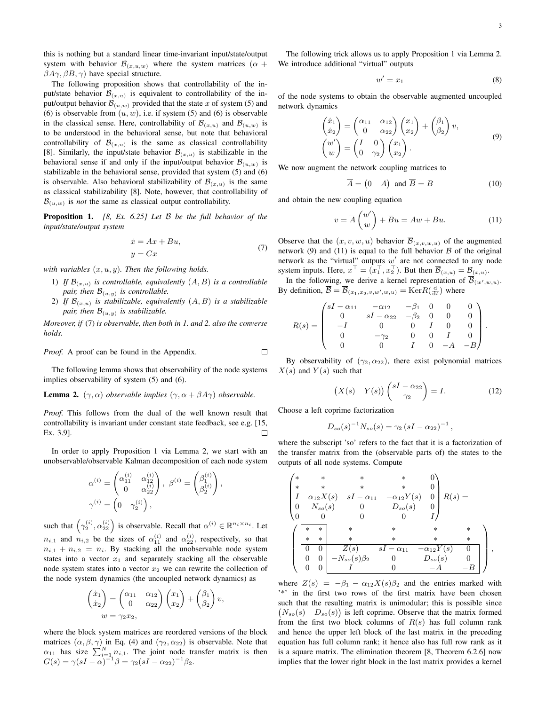this is nothing but a standard linear time-invariant input/state/output system with behavior  $\mathcal{B}_{(x,u,w)}$  where the system matrices  $(\alpha +$  $\beta A\gamma$ ,  $\beta B$ ,  $\gamma$ ) have special structure.

The following proposition shows that controllability of the input/state behavior  $\mathcal{B}_{(x,u)}$  is equivalent to controllability of the input/output behavior  $\mathcal{B}_{(u,w)}$  provided that the state x of system (5) and (6) is observable from  $(u, w)$ , i.e. if system (5) and (6) is observable in the classical sense. Here, controllability of  $\mathcal{B}_{(x,u)}$  and  $\mathcal{B}_{(u,w)}$  is to be understood in the behavioral sense, but note that behavioral controllability of  $\mathcal{B}_{(x,u)}$  is the same as classical controllability [8]. Similarly, the input/state behavior  $\mathcal{B}_{(x,u)}$  is stabilizable in the behavioral sense if and only if the input/output behavior  $\mathcal{B}_{(u,w)}$  is stabilizable in the behavioral sense, provided that system (5) and (6) is observable. Also behavioral stabilizability of  $\mathcal{B}_{(x,u)}$  is the same as classical stabilizability [8]. Note, however, that controllability of  $\mathcal{B}_{(u,w)}$  is *not* the same as classical output controllability.

Proposition 1. *[8, Ex. 6.25] Let* B *be the full behavior of the input/state/output system*

$$
\begin{aligned}\n\dot{x} &= Ax + Bu, \\
y &= Cx\n\end{aligned} \tag{7}
$$

with variables  $(x, u, y)$ *. Then the following holds.* 

- 1) If  $\mathcal{B}_{(x,u)}$  *is controllable, equivalently*  $(A, B)$  *is a controllable pair, then*  $\mathcal{B}_{(u,y)}$  *is controllable.*
- 2) *If*  $\mathcal{B}_{(x,u)}$  *is stabilizable, equivalently*  $(A, B)$  *is a stabilizable pair, then*  $\mathcal{B}_{(u,y)}$  *is stabilizable.*

*Moreover, if* (7) *is observable, then both in 1. and 2. also the converse holds.*

 $\Box$ *Proof.* A proof can be found in the Appendix.

The following lemma shows that observability of the node systems implies observability of system (5) and (6).

#### **Lemma 2.** ( $\gamma$ ,  $\alpha$ ) *observable implies* ( $\gamma$ ,  $\alpha + \beta A\gamma$ ) *observable.*

*Proof.* This follows from the dual of the well known result that controllability is invariant under constant state feedback, see e.g. [15, Ex. 3.9].  $\Box$ 

In order to apply Proposition 1 via Lemma 2, we start with an unobservable/observable Kalman decomposition of each node system

$$
\alpha^{(i)} = \begin{pmatrix} \alpha_{11}^{(i)} & \alpha_{12}^{(i)} \\ 0 & \alpha_{22}^{(i)} \end{pmatrix}, \ \beta^{(i)} = \begin{pmatrix} \beta_1^{(i)} \\ \beta_2^{(i)} \end{pmatrix}, \n\gamma^{(i)} = \begin{pmatrix} 0 & \gamma_2^{(i)} \end{pmatrix},
$$

such that  $(\gamma_2^{(i)}, \alpha_{22}^{(i)})$  is observable. Recall that  $\alpha^{(i)} \in \mathbb{R}^{n_i \times n_i}$ . Let  $n_{i,1}$  and  $n_{i,2}$  be the sizes of  $\alpha_{11}^{(i)}$  and  $\alpha_{22}^{(i)}$ , respectively, so that  $n_{i,1} + n_{i,2} = n_i$ . By stacking all the unobservable node system states into a vector  $x_1$  and separately stacking all the observable node system states into a vector  $x_2$  we can rewrite the collection of the node system dynamics (the uncoupled network dynamics) as

$$
\begin{pmatrix} \dot{x}_1 \\ \dot{x}_2 \end{pmatrix} = \begin{pmatrix} \alpha_{11} & \alpha_{12} \\ 0 & \alpha_{22} \end{pmatrix} \begin{pmatrix} x_1 \\ x_2 \end{pmatrix} + \begin{pmatrix} \beta_1 \\ \beta_2 \end{pmatrix} v,
$$
  

$$
w = \gamma_2 x_2,
$$

where the block system matrices are reordered versions of the block matrices  $(\alpha, \beta, \gamma)$  in Eq. (4) and  $(\gamma_2, \alpha_{22})$  is observable. Note that  $\alpha_{11}$  has size  $\sum_{i=1}^{N} n_{i,1}$ . The joint node transfer matrix is then  $G(s) = \gamma(sI - \alpha)^{-1}\beta = \gamma_2(sI - \alpha_{22})^{-1}\beta_2.$ 

The following trick allows us to apply Proposition 1 via Lemma 2. We introduce additional "virtual" outputs

$$
w' = x_1 \tag{8}
$$

of the node systems to obtain the observable augmented uncoupled network dynamics

$$
\begin{pmatrix}\n\dot{x}_1 \\
\dot{x}_2\n\end{pmatrix} = \begin{pmatrix}\n\alpha_{11} & \alpha_{12} \\
0 & \alpha_{22}\n\end{pmatrix} \begin{pmatrix}\nx_1 \\
x_2\n\end{pmatrix} + \begin{pmatrix}\n\beta_1 \\
\beta_2\n\end{pmatrix} v,
$$
\n
$$
\begin{pmatrix}\nw' \\
w\n\end{pmatrix} = \begin{pmatrix}\nI & 0 \\
0 & \gamma_2\n\end{pmatrix} \begin{pmatrix}\nx_1 \\
x_2\n\end{pmatrix}.
$$
\n(9)

We now augment the network coupling matrices to

$$
\overline{A} = \begin{pmatrix} 0 & A \end{pmatrix} \text{ and } \overline{B} = B \tag{10}
$$

and obtain the new coupling equation

$$
v = \overline{A} \begin{pmatrix} w' \\ w \end{pmatrix} + \overline{B}u = Aw + Bu. \tag{11}
$$

Observe that the  $(x, v, w, u)$  behavior  $\overline{\mathcal{B}}_{(x, v, w, u)}$  of the augmented network (9) and (11) is equal to the full behavior  $\beta$  of the original network as the "virtual" outputs  $w'$  are not connected to any node system inputs. Here,  $x^{\top} = (x_1^{\top}, x_2^{\top})$ . But then  $\overline{\mathcal{B}}_{(x,u)} = \mathcal{B}_{(x,u)}$ .

In the following, we derive a kernel representation of  $\mathcal{B}_{(w',w,u)}$ . By definition,  $\overline{\mathcal{B}} = \overline{\mathcal{B}}_{(x_1, x_2, v, w', w, u)} = \text{Ker} R\left(\frac{d}{dt}\right)$  where

$$
R(s) = \begin{pmatrix} sI - \alpha_{11} & -\alpha_{12} & -\beta_1 & 0 & 0 & 0 \\ 0 & sI - \alpha_{22} & -\beta_2 & 0 & 0 & 0 \\ -I & 0 & 0 & I & 0 & 0 \\ 0 & -\gamma_2 & 0 & 0 & I & 0 \\ 0 & 0 & I & 0 & -A & -B \end{pmatrix}.
$$

By observability of  $(\gamma_2, \alpha_{22})$ , there exist polynomial matrices  $X(s)$  and  $Y(s)$  such that

$$
(X(s) Y(s)) \begin{pmatrix} sI - \alpha_{22} \\ \gamma_2 \end{pmatrix} = I.
$$
 (12)

Choose a left coprime factorization

$$
D_{so}(s)^{-1}N_{so}(s) = \gamma_2 (sI - \alpha_{22})^{-1},
$$

where the subscript 'so' refers to the fact that it is a factorization of the transfer matrix from the (observable parts of) the states to the outputs of all node systems. Compute

$$
\begin{pmatrix}\n* & * & * & * & 0 \\
* & * & * & * & 0 \\
I & \alpha_{12}X(s) & sI - \alpha_{11} & -\alpha_{12}Y(s) & 0 \\
0 & N_{so}(s) & 0 & D_{so}(s) & 0 \\
0 & 0 & 0 & 0 & I\n\end{pmatrix}\nR(s) = \n\begin{pmatrix}\n* & * & * & * & * \\
* & * & * & * & * \\
* & * & * & * & * & * \\
0 & 0 & Z(s) & sI - \alpha_{11} & -\alpha_{12}Y(s) & 0 \\
0 & 0 & -N_{so}(s)\beta_{2} & 0 & D_{so}(s) & 0 \\
0 & 0 & I & 0 & -A & -B\n\end{pmatrix},
$$

where  $Z(s) = -\beta_1 - \alpha_{12}X(s)\beta_2$  and the entries marked with '\*' in the first two rows of the first matrix have been chosen such that the resulting matrix is unimodular; this is possible since  $(N_{so}(s)$   $D_{so}(s))$  is left coprime. Observe that the matrix formed from the first two block columns of  $R(s)$  has full column rank and hence the upper left block of the last matrix in the preceding equation has full column rank; it hence also has full row rank as it is a square matrix. The elimination theorem [8, Theorem 6.2.6] now implies that the lower right block in the last matrix provides a kernel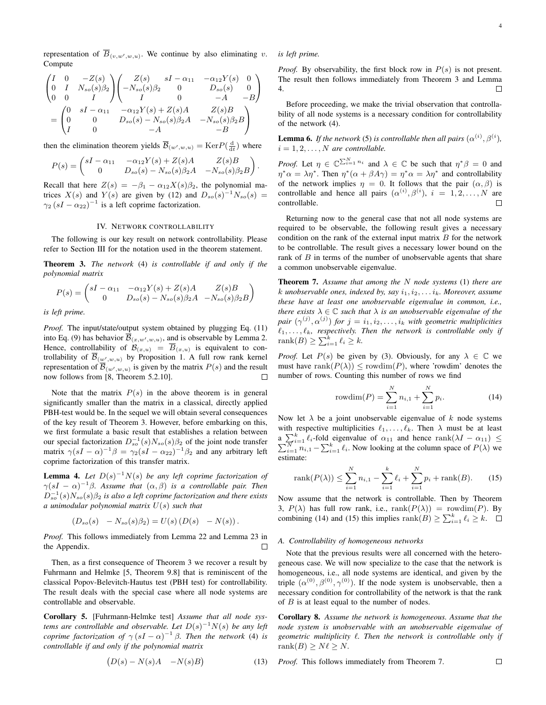representation of  $B_{(v,w',w,u)}$ . We continue by also eliminating v. Compute

$$
\begin{pmatrix}\nI & 0 & -Z(s) \\
0 & I & N_{so}(s)\beta_2 \\
0 & 0 & I\n\end{pmatrix}\n\begin{pmatrix}\nZ(s) & sI - \alpha_{11} & -\alpha_{12}Y(s) & 0 \\
-N_{so}(s)\beta_2 & 0 & D_{so}(s) & 0 \\
I & 0 & -A & -B\n\end{pmatrix}
$$
\n
$$
= \begin{pmatrix}\n0 & sI - \alpha_{11} & -\alpha_{12}Y(s) + Z(s)A & Z(s)B \\
0 & 0 & D_{so}(s) - N_{so}(s)\beta_2A & -N_{so}(s)\beta_2B \\
I & 0 & -A & -B\n\end{pmatrix}
$$

then the elimination theorem yields  $\overline{B}_{(w',w,u)} = \text{Ker}P(\frac{d}{dt})$  where

$$
P(s) = \begin{pmatrix} sI - \alpha_{11} & -\alpha_{12}Y(s) + Z(s)A & Z(s)B \\ 0 & D_{so}(s) - N_{so}(s)\beta_2 A & -N_{so}(s)\beta_2 B \end{pmatrix}
$$

Recall that here  $Z(s) = -\beta_1 - \alpha_{12}X(s)\beta_2$ , the polynomial matrices  $X(s)$  and  $Y(s)$  are given by (12) and  $D_{so}(s)^{-1}N_{so}(s) =$  $\gamma_2 (sI - \alpha_{22})^{-1}$  is a left coprime factorization.

### IV. NETWORK CONTROLLABILITY

The following is our key result on network controllability. Please refer to Section III for the notation used in the theorem statement.

Theorem 3. *The network* (4) *is controllable if and only if the polynomial matrix*

$$
P(s) = \begin{pmatrix} sI - \alpha_{11} & -\alpha_{12}Y(s) + Z(s)A & Z(s)B \\ 0 & D_{so}(s) - N_{so}(s)\beta_2A & -N_{so}(s)\beta_2B \end{pmatrix}
$$

*is left prime.*

*Proof.* The input/state/output system obtained by plugging Eq. (11) into Eq. (9) has behavior  $\overline{\mathcal{B}}_{(x,w',w,u)}$ , and is observable by Lemma 2. Hence, controllability of  $\overline{\mathcal{B}}_{(x,u)} = \overline{\mathcal{B}}_{(x,u)}$  is equivalent to controllability of  $\mathcal{B}_{(w',w,u)}$  by Proposition 1. A full row rank kernel representation of  $\overline{\mathcal{B}}_{(w',w,u)}$  is given by the matrix  $P(s)$  and the result now follows from [8, Theorem 5.2.10].  $\Box$ 

Note that the matrix  $P(s)$  in the above theorem is in general significantly smaller than the matrix in a classical, directly applied PBH-test would be. In the sequel we will obtain several consequences of the key result of Theorem 3. However, before embarking on this, we first formulate a basic result that establishes a relation between our special factorization  $D_{so}^{-1}(s)N_{so}(s)\beta_2$  of the joint node transfer matrix  $\gamma (sI - \alpha)^{-1} \beta = \gamma_2 (sI - \alpha_{22})^{-1} \beta_2$  and any arbitrary left coprime factorization of this transfer matrix.

**Lemma 4.** Let  $D(s)^{-1}N(s)$  be any left coprime factorization of  $\gamma(sI - \alpha)^{-1}\beta$ . Assume that  $(\alpha, \beta)$  is a controllable pair. Then  $D_{so}^{-1}(s)N_{so}(s)\beta_2$  is also a left coprime factorization and there exists *a unimodular polynomial matrix* U(s) *such that*

$$
(D_{so}(s) - N_{so}(s)\beta_2) = U(s) (D(s) - N(s)).
$$

*Proof.* This follows immediately from Lemma 22 and Lemma 23 in the Appendix.  $\Box$ 

Then, as a first consequence of Theorem 3 we recover a result by Fuhrmann and Helmke [5, Theorem 9.8] that is reminiscent of the classical Popov-Belevitch-Hautus test (PBH test) for controllability. The result deals with the special case where all node systems are controllable and observable.

Corollary 5. [Fuhrmann-Helmke test] *Assume that all node systems are controllable and observable. Let*  $D(s)^{-1}N(s)$  *be any left coprime factorization of*  $\gamma (sI - \alpha)^{-1}$   $\beta$ *. Then the network* (4) *is controllable if and only if the polynomial matrix*

$$
(D(s) - N(s)A - N(s)B)
$$
\n(13)

## *is left prime.*

.

*Proof.* By observability, the first block row in  $P(s)$  is not present. The result then follows immediately from Theorem 3 and Lemma 4.

Before proceeding, we make the trivial observation that controllability of all node systems is a necessary condition for controllability of the network (4).

**Lemma 6.** If the network (5) is controllable then all pairs  $(\alpha^{(i)}, \beta^{(i)})$ ,  $i = 1, 2, \ldots, N$  are controllable.

*Proof.* Let  $\eta \in \mathbb{C}^{\sum_{i=1}^{N} n_i}$  and  $\lambda \in \mathbb{C}$  be such that  $\eta^* \beta = 0$  and  $\eta^*\alpha = \lambda \eta^*$ . Then  $\eta^*(\alpha + \beta A \gamma) = \eta^*\alpha = \lambda \eta^*$  and controllability of the network implies  $\eta = 0$ . It follows that the pair  $(\alpha, \beta)$  is controllable and hence all pairs  $(\alpha^{(i)}, \beta^{(i)}), i = 1, 2, ..., N$  are controllable.  $\Box$ 

Returning now to the general case that not all node systems are required to be observable, the following result gives a necessary condition on the rank of the external input matrix  $B$  for the network to be controllable. The result gives a necessary lower bound on the rank of  $B$  in terms of the number of unobservable agents that share a common unobservable eigenvalue.

Theorem 7. *Assume that among the* N *node systems* (1) *there are* k *unobservable ones, indexed by, say* i1, i2, . . . ik*. Moreover, assume these have at least one unobservable eigenvalue in common, i.e., there exists*  $\lambda \in \mathbb{C}$  *such that*  $\lambda$  *is an unobservable eigenvalue of the* pair  $(\gamma^{(j)}, \alpha^{(j)})$  for  $j = i_1, i_2, \ldots, i_k$  with geometric multiplicities  $\ell_1, \ldots, \ell_k$ , respectively. Then the network is controllable only if rank $(B) \geq \sum_{i=1}^{k} \ell_i \geq k$ .

*Proof.* Let  $P(s)$  be given by (3). Obviously, for any  $\lambda \in \mathbb{C}$  we must have rank $(P(\lambda)) \le$  rowdim $(P)$ , where 'rowdim' denotes the number of rows. Counting this number of rows we find

rowdim
$$
(P)
$$
 =  $\sum_{i=1}^{N} n_{i,1} + \sum_{i=1}^{N} p_i$ . (14)

Now let  $\lambda$  be a joint unobservable eigenvalue of k node systems with respective multiplicities  $\ell_1, \ldots, \ell_k$ . Then  $\lambda$  must be at least a  $\sum_{i=1}^{k} \ell_i$ -fold eigenvalue of  $\alpha_{11}$  and hence rank $(\lambda I - \alpha_{11}) \le \sum_{i=1}^{N} n_{i,1} - \sum_{i=1}^{k} \ell_i$ . Now looking at the column space of  $P(\lambda)$  we estimate:

rank
$$
(P(\lambda)) \le \sum_{i=1}^{N} n_{i,1} - \sum_{i=1}^{k} \ell_i + \sum_{i=1}^{N} p_i + \text{rank}(B).
$$
 (15)

Now assume that the network is controllable. Then by Theorem 3,  $P(\lambda)$  has full row rank, i.e.,  $\text{rank}(P(\lambda)) = \text{rowdim}(P)$ . By combining (14) and (15) this implies  $\text{rank}(B) \ge \sum_{i=1}^{k} \ell_i \ge k$ .

#### *A. Controllability of homogeneous networks*

Note that the previous results were all concerned with the heterogeneous case. We will now specialize to the case that the network is homogeneous, i.e., all node systems are identical, and given by the triple  $(\alpha^{(0)}, \beta^{(0)}, \gamma^{(0)})$ . If the node system is unobservable, then a necessary condition for controllability of the network is that the rank of  $B$  is at least equal to the number of nodes.

Corollary 8. *Assume the network is homogeneous. Assume that the node system is unobservable with an unobservable eigenvalue of geometric multiplicity* `*. Then the network is controllable only if* rank $(B) \geq N\ell \geq N$ .

 $\Box$ 

*Proof.* This follows immediately from Theorem 7.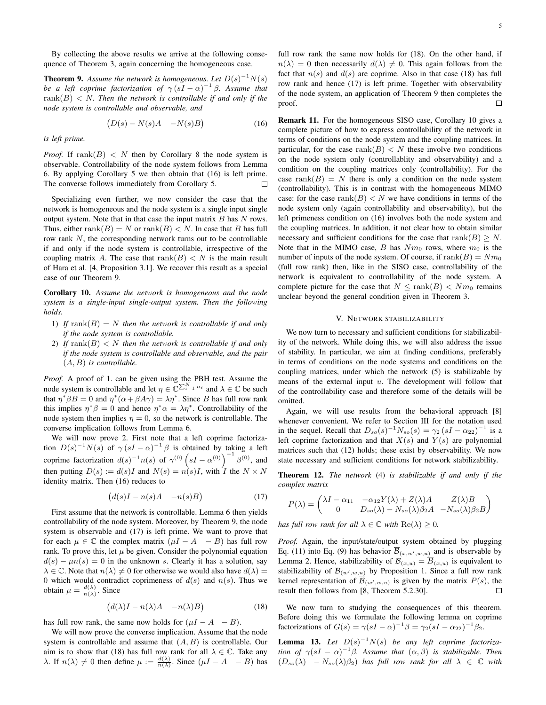By collecting the above results we arrive at the following consequence of Theorem 3, again concerning the homogeneous case.

**Theorem 9.** Assume the network is homogeneous. Let  $D(s)^{-1}N(s)$ *be a left coprime factorization of*  $\gamma (sI - \alpha)^{-1}$   $\beta$ . Assume that  $rank(B) < N$ . Then the network is controllable if and only if the *node system is controllable and observable, and*

$$
(D(s) - N(s)A - N(s)B) \tag{16}
$$

*is left prime.*

*Proof.* If  $rank(B) < N$  then by Corollary 8 the node system is observable. Controllability of the node system follows from Lemma 6. By applying Corollary 5 we then obtain that (16) is left prime. The converse follows immediately from Corollary 5.  $\Box$ 

Specializing even further, we now consider the case that the network is homogeneous and the node system is a single input single output system. Note that in that case the input matrix  $B$  has  $N$  rows. Thus, either  $rank(B) = N$  or  $rank(B) < N$ . In case that B has full row rank N, the corresponding network turns out to be controllable if and only if the node system is controllable, irrespective of the coupling matrix A. The case that  $rank(B) < N$  is the main result of Hara et al. [4, Proposition 3.1]. We recover this result as a special case of our Theorem 9.

Corollary 10. *Assume the network is homogeneous and the node system is a single-input single-output system. Then the following holds.*

- 1) If  $\text{rank}(B) = N$  *then the network is controllable if and only if the node system is controllable.*
- 2) If  $\text{rank}(B) < N$  *then the network is controllable if and only if the node system is controllable and observable, and the pair* (A, B) *is controllable.*

*Proof.* A proof of 1. can be given using the PBH test. Assume the node system is controllable and let  $\eta \in \mathbb{C}^{\sum_{i=1}^{N} n_i}$  and  $\lambda \in \mathbb{C}$  be such that  $\eta^* \beta B = 0$  and  $\eta^* (\alpha + \beta A \gamma) = \lambda \eta^*$ . Since B has full row rank this implies  $\eta^* \beta = 0$  and hence  $\eta^* \alpha = \lambda \eta^*$ . Controllability of the node system then implies  $\eta = 0$ , so the network is controllable. The converse implication follows from Lemma 6.

We will now prove 2. First note that a left coprime factorization  $D(s)^{-1}N(s)$  of  $\gamma(sI-\alpha)^{-1}\beta$  is obtained by taking a left coprime factorization  $d(s)^{-1}n(s)$  of  $\gamma^{(0)}(sI - \alpha^{(0)})^{-1}\beta^{(0)}$ , and then putting  $D(s) := d(s)I$  and  $N(s) = n(s)I$ , with I the  $N \times N$ identity matrix. Then (16) reduces to

$$
(d(s)I - n(s)A - n(s)B) \tag{17}
$$

First assume that the network is controllable. Lemma 6 then yields controllability of the node system. Moreover, by Theorem 9, the node system is observable and (17) is left prime. We want to prove that for each  $\mu \in \mathbb{C}$  the complex matrix  $(\mu I - A - B)$  has full row rank. To prove this, let  $\mu$  be given. Consider the polynomial equation  $d(s) - \mu n(s) = 0$  in the unknown s. Clearly it has a solution, say  $\lambda \in \mathbb{C}$ . Note that  $n(\lambda) \neq 0$  for otherwise we would also have  $d(\lambda) =$ 0 which would contradict coprimeness of  $d(s)$  and  $n(s)$ . Thus we obtain  $\mu = \frac{d(\lambda)}{n(\lambda)}$ . Since

$$
(d(\lambda)I - n(\lambda)A - n(\lambda)B) \tag{18}
$$

has full row rank, the same now holds for  $(\mu I - A - B)$ .

We will now prove the converse implication. Assume that the node system is controllable and assume that  $(A, B)$  is controllable. Our aim is to show that (18) has full row rank for all  $\lambda \in \mathbb{C}$ . Take any  $\lambda$ . If  $n(\lambda) \neq 0$  then define  $\mu := \frac{d(\lambda)}{n(\lambda)}$ . Since  $(\mu I - A - B)$  has full row rank the same now holds for (18). On the other hand, if  $n(\lambda) = 0$  then necessarily  $d(\lambda) \neq 0$ . This again follows from the fact that  $n(s)$  and  $d(s)$  are coprime. Also in that case (18) has full row rank and hence (17) is left prime. Together with observability of the node system, an application of Theorem 9 then completes the proof.  $\Box$ 

Remark 11. For the homogeneous SISO case, Corollary 10 gives a complete picture of how to express controllability of the network in terms of conditions on the node system and the coupling matrices. In particular, for the case rank( $B$ )  $\lt N$  these involve two conditions on the node system only (controllablity and observability) and a condition on the coupling matrices only (controllability). For the case rank $(B) = N$  there is only a condition on the node system (controllability). This is in contrast with the homogeneous MIMO case: for the case  $rank(B) < N$  we have conditions in terms of the node system only (again controllability and observability), but the left primeness condition on (16) involves both the node system and the coupling matrices. In addition, it not clear how to obtain similar necessary and sufficient conditions for the case that  $rank(B) \geq N$ . Note that in the MIMO case, B has  $Nm_0$  rows, where  $m_0$  is the number of inputs of the node system. Of course, if  $\text{rank}(B) = Nm_0$ (full row rank) then, like in the SISO case, controllability of the network is equivalent to controllability of the node system. A complete picture for the case that  $N \leq \text{rank}(B) < Nm_0$  remains unclear beyond the general condition given in Theorem 3.

### V. NETWORK STABILIZABILITY

We now turn to necessary and sufficient conditions for stabilizability of the network. While doing this, we will also address the issue of stability. In particular, we aim at finding conditions, preferably in terms of conditions on the node systems and conditions on the coupling matrices, under which the network (5) is stabilizable by means of the external input  $u$ . The development will follow that of the controllability case and therefore some of the details will be omitted.

Again, we will use results from the behavioral approach [8] whenever convenient. We refer to Section III for the notation used in the sequel. Recall that  $D_{so}(s)^{-1}N_{so}(s) = \gamma_2 (sI - \alpha_{22})^{-1}$  is a left coprime factorization and that  $X(s)$  and  $Y(s)$  are polynomial matrices such that (12) holds; these exist by observability. We now state necessary and sufficient conditions for network stabilizability.

Theorem 12. *The network* (4) *is stabilizable if and only if the complex matrix*

$$
P(\lambda) = \begin{pmatrix} \lambda I - \alpha_{11} & -\alpha_{12} Y(\lambda) + Z(\lambda) A & Z(\lambda) B \\ 0 & D_{so}(\lambda) - N_{so}(\lambda) \beta_2 A & -N_{so}(\lambda) \beta_2 B \end{pmatrix}
$$

*has full row rank for all*  $\lambda \in \mathbb{C}$  *with*  $\text{Re}(\lambda) \geq 0$ *.* 

*Proof.* Again, the input/state/output system obtained by plugging Eq. (11) into Eq. (9) has behavior  $\overline{\mathcal{B}}_{(x,w',w,u)}$  and is observable by Lemma 2. Hence, stabilizability of  $\mathcal{B}_{(x,u)} = \overline{B}_{(x,u)}$  is equivalent to stabilizability of  $\mathcal{B}_{(w',w,u)}$  by Proposition 1. Since a full row rank kernel representation of  $\overline{\mathcal{B}}_{(w',w,u)}$  is given by the matrix  $P(s)$ , the result then follows from [8, Theorem 5.2.30].  $\Box$ 

We now turn to studying the consequences of this theorem. Before doing this we formulate the following lemma on coprime factorizations of  $G(s) = \gamma (sI - \alpha)^{-1} \beta = \gamma_2 (sI - \alpha_{22})^{-1} \beta_2$ .

**Lemma 13.** Let  $D(s)^{-1}N(s)$  be any left coprime factoriza*tion of*  $\gamma(sI - \alpha)^{-1}\beta$ . Assume that  $(\alpha, \beta)$  is stabilizable. Then  $(D_{so}(\lambda) - N_{so}(\lambda)\beta_2)$  *has full row rank for all*  $\lambda \in \mathbb{C}$  *with*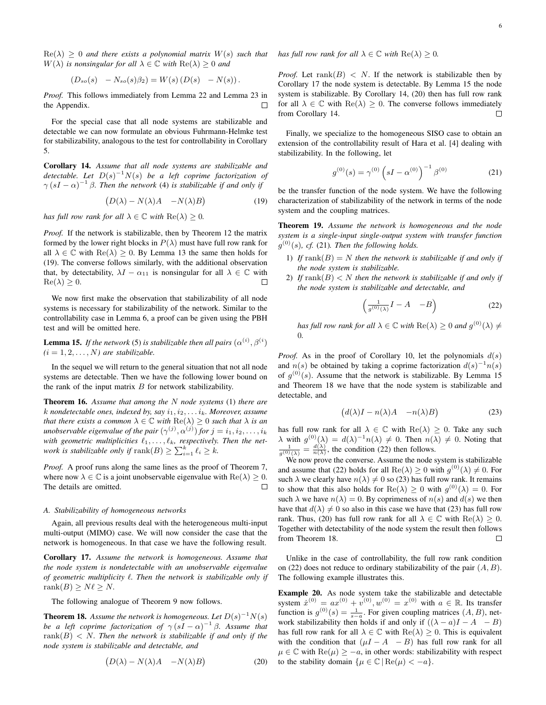$\text{Re}(\lambda) > 0$  *and there exists a polynomial matrix*  $W(s)$  *such that*  $W(\lambda)$  *is nonsingular for all*  $\lambda \in \mathbb{C}$  *with*  $\text{Re}(\lambda) \geq 0$  *and* 

$$
(D_{so}(s) - N_{so}(s)\beta_2) = W(s) (D(s) - N(s)).
$$

*Proof.* This follows immediately from Lemma 22 and Lemma 23 in the Appendix. Г

For the special case that all node systems are stabilizable and detectable we can now formulate an obvious Fuhrmann-Helmke test for stabilizability, analogous to the test for controllability in Corollary 5.

Corollary 14. *Assume that all node systems are stabilizable and detectable. Let* D(s) <sup>−</sup><sup>1</sup>N(s) *be a left coprime factorization of*  $\gamma (sI - \alpha)^{-1}$   $\beta$ . Then the network (4) is stabilizable if and only if

$$
(D(\lambda) - N(\lambda)A - N(\lambda)B) \tag{19}
$$

*has full row rank for all*  $\lambda \in \mathbb{C}$  *with*  $\text{Re}(\lambda) \geq 0$ *.* 

*Proof.* If the network is stabilizable, then by Theorem 12 the matrix formed by the lower right blocks in  $P(\lambda)$  must have full row rank for all  $\lambda \in \mathbb{C}$  with  $\text{Re}(\lambda) \geq 0$ . By Lemma 13 the same then holds for (19). The converse follows similarly, with the additional observation that, by detectability,  $\lambda I - \alpha_{11}$  is nonsingular for all  $\lambda \in \mathbb{C}$  with  $\text{Re}(\lambda) \geq 0.$  $\Box$ 

We now first make the observation that stabilizability of all node systems is necessary for stabilizability of the network. Similar to the controllability case in Lemma 6, a proof can be given using the PBH test and will be omitted here.

**Lemma 15.** If the network (5) is stabilizable then all pairs  $(\alpha^{(i)}, \beta^{(i)})$  $(i = 1, 2, \ldots, N)$  are stabilizable.

In the sequel we will return to the general situation that not all node systems are detectable. Then we have the following lower bound on the rank of the input matrix  $B$  for network stabilizability.

Theorem 16. *Assume that among the* N *node systems* (1) *there are* k *nondetectable ones, indexed by, say* i1, i2, . . . ik*. Moreover, assume that there exists a common*  $\lambda \in \mathbb{C}$  *with*  $\text{Re}(\lambda) \geq 0$  *such that*  $\lambda$  *is an unobservable eigenvalue of the pair*  $(\gamma^{(j)}, \alpha^{(j)})$  *for*  $j = i_1, i_2, \ldots, i_k$ with geometric multiplicities  $\ell_1, \ldots, \ell_k$ , respectively. Then the net*work is stabilizable only if*  $\text{rank}(B) \ge \sum_{i=1}^k \ell_i \ge k$ .

*Proof.* A proof runs along the same lines as the proof of Theorem 7, where now  $\lambda \in \mathbb{C}$  is a joint unobservable eigenvalue with  $\text{Re}(\lambda) \geq 0$ . The details are omitted.  $\Box$ 

### *A. Stabilizability of homogeneous networks*

Again, all previous results deal with the heterogeneous multi-input multi-output (MIMO) case. We will now consider the case that the network is homogeneous. In that case we have the following result.

Corollary 17. *Assume the network is homogeneous. Assume that the node system is nondetectable with an unobservable eigenvalue of geometric multiplicity* `*. Then the network is stabilizable only if* rank $(B) \geq N\ell \geq N$ .

The following analogue of Theorem 9 now follows.

**Theorem 18.** Assume the network is homogeneous. Let  $D(s)^{-1}N(s)$ *be a left coprime factorization of*  $\gamma (sI - \alpha)^{-1}$   $\beta$ . Assume that  $rank(B) < N$ . Then the network is stabilizable if and only if the *node system is stabilizable and detectable, and*

$$
(D(\lambda) - N(\lambda)A - N(\lambda)B) \tag{20}
$$

*has full row rank for all*  $\lambda \in \mathbb{C}$  *with*  $\text{Re}(\lambda) \geq 0$ *.* 

*Proof.* Let  $\text{rank}(B) < N$ . If the network is stabilizable then by Corollary 17 the node system is detectable. By Lemma 15 the node system is stabilizable. By Corollary 14, (20) then has full row rank for all  $\lambda \in \mathbb{C}$  with  $\text{Re}(\lambda) \geq 0$ . The converse follows immediately from Corollary 14. □

Finally, we specialize to the homogeneous SISO case to obtain an extension of the controllability result of Hara et al. [4] dealing with stabilizability. In the following, let

$$
g^{(0)}(s) = \gamma^{(0)} \left( sI - \alpha^{(0)} \right)^{-1} \beta^{(0)} \tag{21}
$$

be the transfer function of the node system. We have the following characterization of stabilizability of the network in terms of the node system and the coupling matrices.

Theorem 19. *Assume the network is homogeneous and the node system is a single-input single-output system with transfer function*  $g^{(0)}(s)$ , cf. (21). Then the following holds.

- 1) If  $\text{rank}(B) = N$  *then the network is stabilizable if and only if the node system is stabilizable.*
- 2) If  $\text{rank}(B) < N$  *then the network is stabilizable if and only if the node system is stabilizable and detectable, and*

$$
\left(\frac{1}{g^{(0)}(\lambda)}I - A - B\right) \tag{22}
$$

*has full row rank for all*  $\lambda \in \mathbb{C}$  *with*  $\text{Re}(\lambda) \geq 0$  *and*  $g^{(0)}(\lambda) \neq 0$ 0*.*

*Proof.* As in the proof of Corollary 10, let the polynomials  $d(s)$ and  $n(s)$  be obtained by taking a coprime factorization  $d(s)^{-1}n(s)$ of  $g^{(0)}(s)$ . Assume that the network is stabilizable. By Lemma 15 and Theorem 18 we have that the node system is stabilizable and detectable, and

$$
(d(\lambda)I - n(\lambda)A - n(\lambda)B) \tag{23}
$$

has full row rank for all  $\lambda \in \mathbb{C}$  with  $\text{Re}(\lambda) \geq 0$ . Take any such  $\lambda$  with  $g^{(0)}(\lambda) = d(\lambda)^{-1}n(\lambda) \neq 0$ . Then  $n(\lambda) \neq 0$ . Noting that  $\frac{1}{g^{(0)}(\lambda)} = \frac{d(\lambda)}{n(\lambda)}$ , the condition (22) then follows.

We now prove the converse. Assume the node system is stabilizable and assume that (22) holds for all  $\text{Re}(\lambda) \ge 0$  with  $g^{(0)}(\lambda) \ne 0$ . For such  $\lambda$  we clearly have  $n(\lambda) \neq 0$  so (23) has full row rank. It remains to show that this also holds for  $\text{Re}(\lambda) \ge 0$  with  $g^{(0)}(\lambda) = 0$ . For such  $\lambda$  we have  $n(\lambda) = 0$ . By coprimeness of  $n(s)$  and  $d(s)$  we then have that  $d(\lambda) \neq 0$  so also in this case we have that (23) has full row rank. Thus, (20) has full row rank for all  $\lambda \in \mathbb{C}$  with  $\text{Re}(\lambda) \geq 0$ . Together with detectability of the node system the result then follows from Theorem 18.  $\Box$ 

Unlike in the case of controllability, the full row rank condition on (22) does not reduce to ordinary stabilizability of the pair  $(A, B)$ . The following example illustrates this.

Example 20. As node system take the stabilizable and detectable system  $\dot{x}^{(0)} = ax^{(0)} + v^{(0)}, w^{(0)} = x^{(0)}$  with  $a \in \mathbb{R}$ . Its transfer function is  $g^{(0)}(s) = \frac{1}{s-a}$ . For given coupling matrices  $(A, B)$ , network stabilizability then holds if and only if  $((\lambda - a)I - A - B)$ has full row rank for all  $\lambda \in \mathbb{C}$  with  $\text{Re}(\lambda) \geq 0$ . This is equivalent with the condition that  $(\mu I - A - B)$  has full row rank for all  $\mu \in \mathbb{C}$  with  $\text{Re}(\mu) \ge -a$ , in other words: stabilizability with respect to the stability domain  $\{\mu \in \mathbb{C} \mid \text{Re}(\mu) < -a\}.$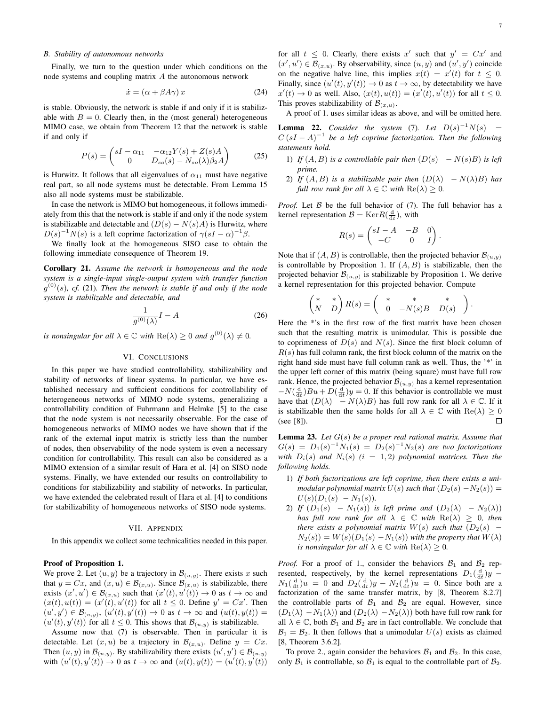#### *B. Stability of autonomous networks*

Finally, we turn to the question under which conditions on the node systems and coupling matrix A the autonomous network

$$
\dot{x} = (\alpha + \beta A \gamma) x \tag{24}
$$

is stable. Obviously, the network is stable if and only if it is stabilizable with  $B = 0$ . Clearly then, in the (most general) heterogeneous MIMO case, we obtain from Theorem 12 that the network is stable if and only if

$$
P(s) = \begin{pmatrix} sI - \alpha_{11} & -\alpha_{12}Y(s) + Z(s)A \\ 0 & D_{so}(s) - N_{so}(\lambda)\beta_2 A \end{pmatrix}
$$
 (25)

is Hurwitz. It follows that all eigenvalues of  $\alpha_{11}$  must have negative real part, so all node systems must be detectable. From Lemma 15 also all node systems must be stabilizable.

In case the network is MIMO but homogeneous, it follows immediately from this that the network is stable if and only if the node system is stabilizable and detectable and  $(D(s) - N(s)A)$  is Hurwitz, where  $D(s)^{-1}N(s)$  is a left coprime factorization of  $\gamma(sI - \alpha)^{-1}\beta$ .

We finally look at the homogeneous SISO case to obtain the following immediate consequence of Theorem 19.

Corollary 21. *Assume the network is homogeneous and the node system is a single-input single-output system with transfer function*  $g^{(0)}(s)$ , cf. (21). Then the network is stable if and only if the node *system is stabilizable and detectable, and*

$$
\frac{1}{g^{(0)}(\lambda)}I - A\tag{26}
$$

*is nonsingular for all*  $\lambda \in \mathbb{C}$  *with*  $\text{Re}(\lambda) \geq 0$  *and*  $g^{(0)}(\lambda) \neq 0$ *.* 

### VI. CONCLUSIONS

In this paper we have studied controllability, stabilizability and stability of networks of linear systems. In particular, we have established necessary and sufficient conditions for controllability of heterogeneous networks of MIMO node systems, generalizing a controllability condition of Fuhrmann and Helmke [5] to the case that the node system is not necessarily observable. For the case of homogeneous networks of MIMO nodes we have shown that if the rank of the external input matrix is strictly less than the number of nodes, then observability of the node system is even a necessary condition for controllability. This result can also be considered as a MIMO extension of a similar result of Hara et al. [4] on SISO node systems. Finally, we have extended our results on controllability to conditions for stabilizability and stability of networks. In particular, we have extended the celebrated result of Hara et al. [4] to conditions for stabilizability of homogeneous networks of SISO node systems.

#### VII. APPENDIX

In this appendix we collect some technicalities needed in this paper.

## Proof of Proposition 1.

We prove 2. Let  $(u, y)$  be a trajectory in  $\mathcal{B}_{(u, y)}$ . There exists x such that  $y = Cx$ , and  $(x, u) \in \mathcal{B}_{(x, u)}$ . Since  $\mathcal{B}_{(x, u)}$  is stabilizable, there exists  $(x', u') \in \mathcal{B}_{(x,u)}$  such that  $(x'(t), u'(t)) \to 0$  as  $t \to \infty$  and  $(x(t), u(t)) = (x'(t), u'(t))$  for all  $t \leq 0$ . Define  $y' = Cx'$ . Then  $(u', y') \in \mathcal{B}_{(u,y)}, (u'(t), y'(t)) \to 0$  as  $t \to \infty$  and  $(u(t), y(t)) =$  $(u'(t), y'(t))$  for all  $t \leq 0$ . This shows that  $\mathcal{B}_{(u,y)}$  is stabilizable.

Assume now that (7) is observable. Then in particular it is detectable. Let  $(x, u)$  be a trajectory in  $\mathcal{B}_{(x, u)}$ . Define  $y = Cx$ . Then  $(u, y)$  in  $\mathcal{B}_{(u,y)}$ . By stabilizability there exists  $(u', y') \in \mathcal{B}_{(u,y)}$ with  $(u'(t), y'(t)) \rightarrow 0$  as  $t \rightarrow \infty$  and  $(u(t), y(t)) = (u'(t), y'(t))$ 

for all  $t \leq 0$ . Clearly, there exists x' such that  $y' = Cx'$  and  $(x', u') \in \mathcal{B}_{(x,u)}$ . By observability, since  $(u, y)$  and  $(u', y')$  coincide on the negative halve line, this implies  $x(t) = x'(t)$  for  $t \leq 0$ . Finally, since  $(u'(t), y'(t)) \to 0$  as  $t \to \infty$ , by detectability we have  $x'(t) \to 0$  as well. Also,  $(x(t), u(t)) = (x'(t), u'(t))$  for all  $t \leq 0$ . This proves stabilizability of  $\mathcal{B}_{(x,u)}$ .

A proof of 1. uses similar ideas as above, and will be omitted here.

**Lemma 22.** *Consider the system* (7). Let  $D(s)^{-1}N(s)$  =  $C(sI - A)^{-1}$  be a left coprime factorization. Then the following *statements hold.*

- 1) *If*  $(A, B)$  *is a controllable pair then*  $(D(s) N(s)B)$  *is left prime.*
- 2) *If*  $(A, B)$  *is a stabilizable pair then*  $(D(\lambda) N(\lambda)B)$  *has full row rank for all*  $\lambda \in \mathbb{C}$  *with*  $\text{Re}(\lambda) \geq 0$ *.*

*Proof.* Let  $B$  be the full behavior of (7). The full behavior has a kernel representation  $B = \text{Ker} R(\frac{d}{dt})$ , with

$$
R(s) = \begin{pmatrix} sI - A & -B & 0 \\ -C & 0 & I \end{pmatrix}.
$$

Note that if  $(A, B)$  is controllable, then the projected behavior  $\mathcal{B}_{(u,v)}$ is controllable by Proposition 1. If  $(A, B)$  is stabilizable, then the projected behavior  $\mathcal{B}_{(u,y)}$  is stabilizable by Proposition 1. We derive a kernel representation for this projected behavior. Compute

$$
\begin{pmatrix} * & * \\ N & D \end{pmatrix} R(s) = \begin{pmatrix} * & * & * \\ 0 & -N(s)B & D(s) \end{pmatrix}.
$$

Here the \*'s in the first row of the first matrix have been chosen such that the resulting matrix is unimodular. This is possible due to coprimeness of  $D(s)$  and  $N(s)$ . Since the first block column of  $R(s)$  has full column rank, the first block column of the matrix on the right hand side must have full column rank as well. Thus, the '\*' in the upper left corner of this matrix (being square) must have full row rank. Hence, the projected behavior  $\mathcal{B}_{(u,y)}$  has a kernel representation  $-N(\frac{d}{dt})Bu + D(\frac{d}{dt})y = 0$ . If this behavior is controllable we must have that  $(D(\lambda) - N(\lambda)B)$  has full row rank for all  $\lambda \in \mathbb{C}$ . If it is stabilizable then the same holds for all  $\lambda \in \mathbb{C}$  with  $\text{Re}(\lambda) \geq 0$ (see [8]).  $\Box$ 

Lemma 23. *Let* G(s) *be a proper real rational matrix. Assume that*  $G(s) = D_1(s)^{-1} N_1(s) = D_2(s)^{-1} N_2(s)$  are two factorizations *with*  $D_i(s)$  *and*  $N_i(s)$  ( $i = 1, 2$ ) polynomial matrices. Then the *following holds.*

- 1) *If both factorizations are left coprime, then there exists a unimodular polynomial matrix*  $U(s)$  *such that*  $(D_2(s) - N_2(s)) =$  $U(s)(D_1(s) - N_1(s))$ .
- 2) *If*  $(D_1(s) N_1(s))$  *is left prime and*  $(D_2(\lambda) N_2(\lambda))$ *has full row rank for all*  $\lambda \in \mathbb{C}$  *with*  $\text{Re}(\lambda) \geq 0$ *, then there exists a polynomial matrix*  $W(s)$  *such that*  $(D_2(s)$  −  $N_2(s) = W(s)(D_1(s) - N_1(s))$  with the property that  $W(\lambda)$ *is nonsingular for all*  $\lambda \in \mathbb{C}$  *with*  $\text{Re}(\lambda) \geq 0$ *.*

*Proof.* For a proof of 1., consider the behaviors  $B_1$  and  $B_2$  represented, respectively, by the kernel representations  $D_1(\frac{d}{dt})y$  –  $N_1(\frac{d}{dt})u = 0$  and  $D_2(\frac{d}{dt})y - N_2(\frac{d}{dt})u = 0$ . Since both are a factorization of the same transfer matrix, by [8, Theorem 8.2.7] the controllable parts of  $B_1$  and  $B_2$  are equal. However, since  $(D_1(\lambda) - N_1(\lambda))$  and  $(D_2(\lambda) - N_2(\lambda))$  both have full row rank for all  $\lambda \in \mathbb{C}$ , both  $\mathcal{B}_1$  and  $\mathcal{B}_2$  are in fact controllable. We conclude that  $\mathcal{B}_1 = \mathcal{B}_2$ . It then follows that a unimodular  $U(s)$  exists as claimed [8, Theorem 3.6.2].

To prove 2., again consider the behaviors  $B_1$  and  $B_2$ . In this case, only  $B_1$  is controllable, so  $B_1$  is equal to the controllable part of  $B_2$ .